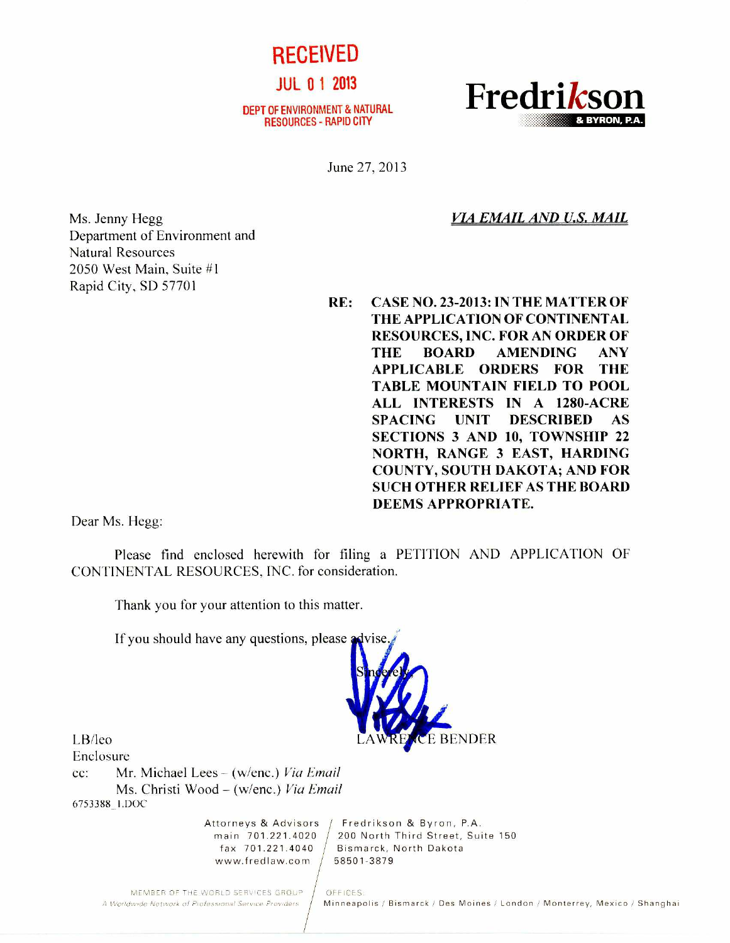

JUL 0 1 2013

DEPT OF ENVIRONMENT & NATURAL RESOURCES - RAPID CITY



June 27, 2013

*VIA EMAIL AND U.S. MAIL* 

Ms. Jenny Hegg Department of Environment and Natural Resources 2050 West Main, Suite #1 Rapid City, SD 57701

**RE: CASE NO. 23-2013: IN THE MATTER OF THE APPLICATION OF CONTINENTAL RESOURCES, INC. FOR AN ORDER OF THE BOARD AMENDING ANY APPLICABLE ORDERS FOR THE TABLE MOUNTAIN FIELD TO POOL ALL INTERESTS IN A 1280-ACRE SPACING UNIT DESCRIBED AS SECTIONS 3 AND 10, TOWNSHIP 22 NORTH, RANGE 3 EAST, HARDING COUNTY, SOUTH DAKOTA; AND FOR SUCH OTHER RELIEF AS THE BOARD DEEMS APPROPRIATE.** 

Dear Ms. Hegg:

Please find enclosed herewith for filing a PETITION AND APPLICATION OF CONTINENTAL RESOURCES, INC. for consideration.

Thank you for your attention to this matter.

If you should have any questions, please advise.



Enclosure

cc: Mr. Michael Lees — (w/enc.) *Via Email*  Ms. Christi Wood — (w/enc.) *Via Email*  67533881.DOC

www.fredlaw.com / 58501-3879

Attorneys & Advisors / Fredrikson & Byron, P.A. main 701.221.4020 200 North Third Street, Suite 150 fax  $701.221.4040$  / Bismarck, North Dakota

MEMBER OF THE WORLD SERVICES GROUP | OFFICES:<br>A Worldwide Network of Professional Service Providers | Minneapo

Minneapolis / Bismarck / Des Moines / London / Monterrey, Mexico / Shanghai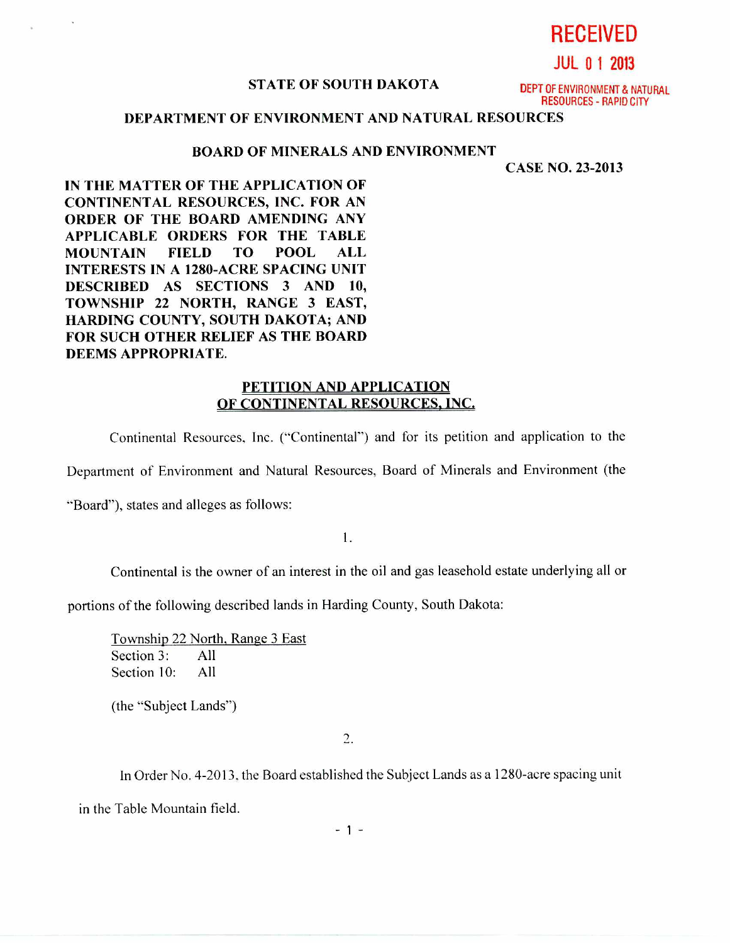**RECEIVED** 

**JUL 0 1 2013** 

## **STATE OF SOUTH DAKOTA DEPT OF ENVIRONMENT & NATURAL**

RESOURCES - RAPID CITY

## **DEPARTMENT OF ENVIRONMENT AND NATURAL RESOURCES**

## **BOARD OF MINERALS AND ENVIRONMENT**

**CASE NO. 23-2013** 

**IN THE MATTER OF THE APPLICATION OF CONTINENTAL RESOURCES, INC. FOR AN ORDER OF THE BOARD AMENDING ANY APPLICABLE ORDERS FOR THE TABLE MOUNTAIN FIELD TO POOL ALL INTERESTS IN A 1280-ACRE SPACING UNIT DESCRIBED AS SECTIONS 3 AND 10, TOWNSHIP 22 NORTH, RANGE 3 EAST, HARDING COUNTY, SOUTH DAKOTA; AND FOR SUCH OTHER RELIEF AS THE BOARD DEEMS APPROPRIATE.** 

## **PETITION AND APPLICATION OF CONTINENTAL RESOURCES, INC,**

Continental Resources, Inc. ("Continental") and for its petition and application to the

Department of Environment and Natural Resources, Board of Minerals and Environment (the

"Board"), states and alleges as follows:

1.

Continental is the owner of an interest in the oil and gas leasehold estate underlying all or

portions of the following described lands in Harding County, South Dakota:

Township 22 North, Range 3 East Section 3: All Section 10: All

(the "Subject Lands")

 $2.$ 

In Order No. 4-2013, the Board established the Subject Lands as a 1280-acre spacing unit

in the Table Mountain field.

 $-1 -$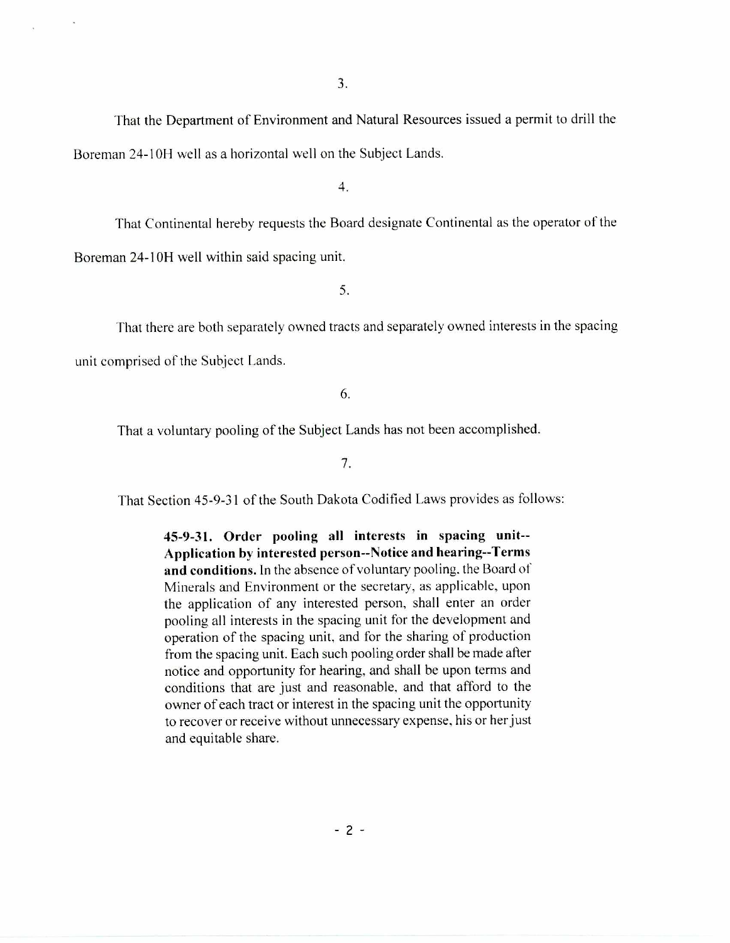That the Department of Environment and Natural Resources issued a permit to drill the Boreman 24-10H well as a horizontal well on the Subject Lands.

4.

That Continental hereby requests the Board designate Continental as the operator of the Boreman 24-10H well within said spacing unit.

5.

That there are both separately owned tracts and separately owned interests in the spacing

unit comprised of the Subject Lands.

6.

That a voluntary pooling of the Subject Lands has not been accomplished.

7.

That Section 45-9-31 of the South Dakota Codified Laws provides as follows:

**45-9-31. Order pooling all interests in spacing unit-- Application by interested person--Notice and hearing--Terms and conditions.** In the absence of voluntary pooling, the Board of Minerals and Environment or the secretary, as applicable, upon the application of any interested person, shall enter an order pooling all interests in the spacing unit for the development and operation of the spacing unit, and for the sharing of production from the spacing unit. Each such pooling order shall be made after notice and opportunity for hearing, and shall be upon terms and conditions that are just and reasonable, and that afford to the owner of each tract or interest in the spacing unit the opportunity to recover or receive without unnecessary expense, his or her just and equitable share.

 $-2 -$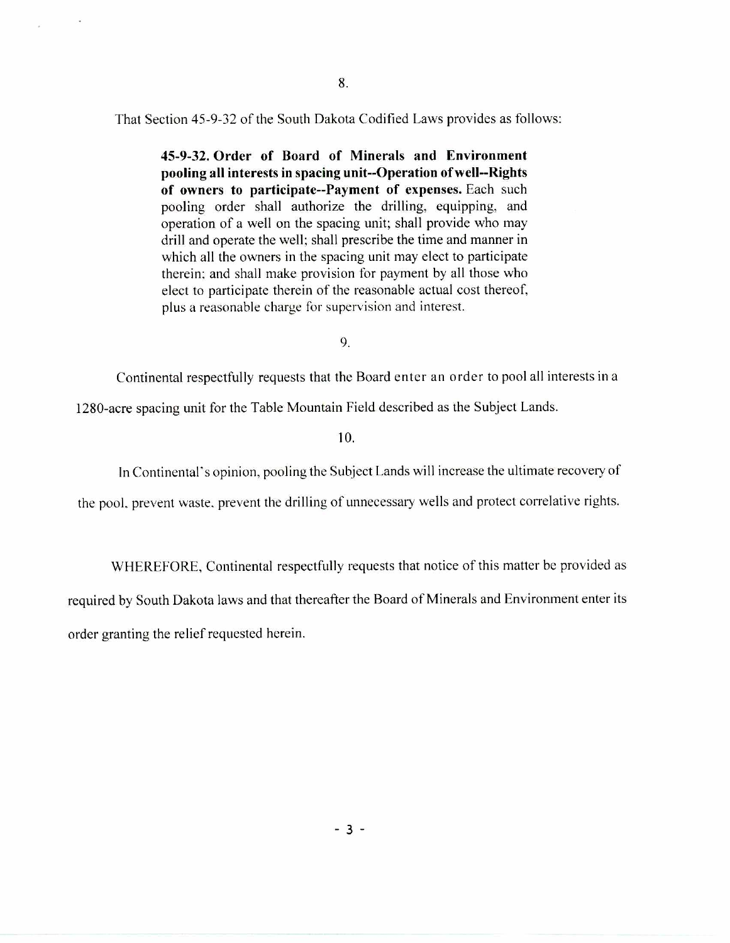That Section 45-9-32 of the South Dakota Codified Laws provides as follows:

**45-9-32. Order of Board of Minerals and Environment pooling all interests in spacing unit--Operation of well--Rights of owners to participate--Payment of expenses.** Each such pooling order shall authorize the drilling, equipping, and operation of a well on the spacing unit; shall provide who may drill and operate the well; shall prescribe the time and manner in which all the owners in the spacing unit may elect to participate therein; and shall make provision for payment by all those who elect to participate therein of the reasonable actual cost thereof, plus a reasonable charge for supervision and interest.

9.

Continental respectfully requests that the Board enter an order to pool all interests in a 1280-acre spacing unit for the Table Mountain Field described as the Subject Lands.

10.

In Continental's opinion, pooling the Subject Lands will increase the ultimate recovery of

the pool. prevent waste. prevent the drilling of unnecessary wells and protect correlative rights.

WHEREFORE, Continental respectfully requests that notice of this matter be provided as required by South Dakota laws and that thereafter the Board of Minerals and Environment enter its order granting the relief requested herein.